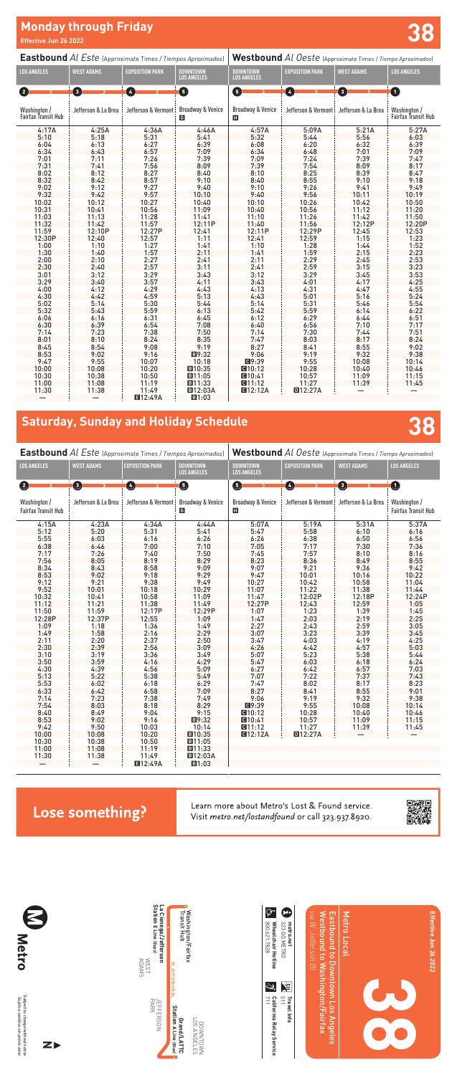| <b>Eastbound</b> Al Este (Approximate Times / Tiempos Aproximados) |                     |                        | Westbound Al Oeste (Approximate Times / Tiempo Aproximados) |                                       |                        |                     |                                     |
|--------------------------------------------------------------------|---------------------|------------------------|-------------------------------------------------------------|---------------------------------------|------------------------|---------------------|-------------------------------------|
| <b>LOS ANGELES</b>                                                 | <b>WEST ADAMS</b>   | <b>EXPOSITION PARK</b> | <b>DOWNTOWN</b><br><b>LOS ANGELES</b>                       | <b>DOWNTOWN</b><br><b>LOS ANGELES</b> | <b>EXPOSITION PARK</b> | <b>WEST ADAMS</b>   | <b>LOS ANGELES</b>                  |
| 0                                                                  | ❶                   | ❹                      | ❶                                                           | O                                     | 0                      | ➊                   | $\mathbf 0$                         |
| Washington /<br><b>Fairfax Transit Hub</b>                         | Jefferson & La Brea | Jefferson & Vermont:   | <b>Broadway &amp; Venice</b><br>G                           | Broadway & Venice<br>H                | Jefferson & Vermont:   | Jefferson & La Brea | Washington /<br>Fairfax Transit Hub |
| 4:17A                                                              | 4:25A               | 4:36A                  | 4:46A                                                       | 4:57A                                 | 5:09A                  | 5:21A               | 5:27A                               |
| 5:10                                                               | 5:18                | 5:31                   | 5:41                                                        | 5:32                                  | 5:44                   | 5:56                | 6:03                                |
| 6:04                                                               | 6:13                | 6:27                   | 6:39                                                        | 6:08                                  | 6:20                   | 6:32                | 6:39                                |
| 6:34                                                               | 6:43                | 6:57                   | 7:09                                                        | 6:34                                  | 6:48                   | 7:01                | 7:09                                |
| 7:01                                                               | 7:11                | 7:26                   | 7:39                                                        | 7:09                                  | 7:24                   | 7:39                | 7:47                                |
| 7:31                                                               | 7:41                | 7:56                   | 8:09                                                        | 7:39                                  | 7:54                   | 8:09                | 8:17                                |
| 8:02                                                               | 8:12                | 8:27                   | 8:40                                                        | 8:10                                  | 8:25                   | 8:39                | 8:47                                |
| 8:32                                                               | 8:42                | 8:57                   | 9:10                                                        | 8:40                                  | 8:55                   | 9:10                | 9:18                                |
| 9:02                                                               | 9:12                | 9:27                   | 9:40                                                        | 9:10                                  | 9:26                   | 9:41                | 9:49                                |
| 9:32                                                               | 9:42                | 9:57                   | 10:10                                                       | 9:40                                  | 9:56                   | 10:11               | 10:19                               |
| 10:02                                                              | 10:12               | 10:27                  | 10:40                                                       | 10:10                                 | 10:26                  | 10:42               | 10:50                               |
| 10:31                                                              | 10:41               | 10:56                  | 11:09                                                       | 10:40                                 | 10:56                  | 11:12               | 11:20                               |
| 11:03                                                              | 11:13               | 11:28                  | 11:41                                                       | 11:10                                 | 11:26                  | 11:42               | 11:50                               |
| 11:32                                                              | 11:42               | 11:57                  | 12:11P                                                      | 11:40                                 | 11:56                  | 12:12P              | 12:20P                              |
| 11:59                                                              | 12:10P              | 12:27P                 | 12:41                                                       | 12:11P                                | 12:29P                 | 12:45               | 12:53                               |
| 12:30P                                                             | 12:40               | 12:57                  | 1:11                                                        | 12:41                                 | 12:59                  | 1:15                | 1:23                                |
| 1:00                                                               | 1:10                | 1:27                   | 1:41                                                        | 1:10                                  | 1:28                   |                     | 1:52                                |
| 1:30                                                               | 1:40                | 1:57                   | 2:11                                                        | 1:41                                  | 1:59                   | $1:44$<br>$2:15$    | 2:23                                |
| 2:00                                                               | 2:10                | 2:27                   | 2:41                                                        | 2:11                                  | 2:29                   | 2:45                | 2:53                                |
| 2:30                                                               | 2:40                | 2:57                   | 3:11                                                        | 2:41                                  | 2:59                   | 3:15                | 3:23                                |
| 3:01                                                               | 3:12                | 3:29                   | 3:43                                                        | 3:12                                  | 3:29                   | 3:45                | 3:53                                |
| 3:29                                                               | 3:40                | 3:57                   | 4:11                                                        | 3:43                                  | 4:01                   | 4:17                | 4:25                                |
| 4:00                                                               | 4:12                | 4:29                   | 4:43                                                        | 4:13                                  | 4:31                   | 4:47                | 4:55                                |
| 4:30                                                               | 4:42                | 4:59                   | 5:13                                                        | 4:43                                  | 5:01                   | 5:16                | 5:24                                |
| 5:02                                                               | 5:14                | 5:30                   | 5:44                                                        | 5:14                                  | 5:31                   | 5:46                | 5:54                                |
| 5:32                                                               | 5:43                | 5:59                   | 6:13                                                        | 5:42                                  | 5:59                   | 6:14                | 6:22                                |
| 6:06                                                               | 6:16                | 6:31                   | 6:45                                                        | 6:12                                  | 6:29                   | 6:44                | 6:51                                |
| 6:30                                                               | 6:39                | 6:54                   | 7:08                                                        | 6:40                                  | 6:56                   | 7:10                | 7:17                                |
| 7:14                                                               | 7:23                | 7:38                   | 7:50                                                        | 7:14                                  | 7:30                   | 7:44                | 7:51                                |
| 8:01                                                               | 8:10                | 8:24                   | 8:35                                                        | 7:47                                  | 8:03                   | 8:17                | 8:24                                |
| 8:45                                                               | 8:54                | 9:08                   | 9:19                                                        | 8:27                                  | 8:41                   | 8:55                | 9:02                                |
| 8:53                                                               | 9:02                | 9:16                   | ■9:32                                                       | 9:06                                  | 9:19                   | 9:32                | 9:38                                |
| 9:47                                                               | 9:55                | 10:07                  | 10:18                                                       | <b>Q9:39</b>                          | 9:55                   | 10:08               | 10:14                               |
| 10:00                                                              | 10:08               | 10:20                  | ■10:35                                                      | $Q = 10:12$                           | 10:28                  | 10:40               | 10:46                               |
| 10:30                                                              | 10:38               | 10:50                  | ■11:05                                                      | Q10:41                                | 10:57                  | 11:09               | 11:15                               |
| 11:00                                                              | 11:08               | 11:19                  | ■11:33                                                      | Q11:12                                | 11:27                  | 11:39               | 11:45                               |
| 11:30                                                              | 11:38               | 11:49                  | <b>回12:03A</b>                                              | <b>CH12:12A</b>                       | <b>回12:27A</b>         |                     |                                     |
|                                                                    |                     | <b>E12:49A</b>         | ■1:03                                                       |                                       |                        |                     |                                     |

# **Monday through Friday Effective Jun 26 2022 38**

| California Relay Service<br>| <sub>711</sub> **California Relay Service**

 $\begin{bmatrix} \textbf{Travel Info} \\ \textbf{511} \end{bmatrix}$ **Travel Info**

| <b>Eastbound</b> Al Este (Approximate Times / Tiempos Aproximados) |                     |                        | Westbound Al Oeste (Approximate Times / Tiempo Aproximados) |                                       |                        |                     |                                            |
|--------------------------------------------------------------------|---------------------|------------------------|-------------------------------------------------------------|---------------------------------------|------------------------|---------------------|--------------------------------------------|
| <b>LOS ANGELES</b>                                                 | <b>WEST ADAMS</b>   | <b>EXPOSITION PARK</b> | <b>DOWNTOWN</b><br><b>LOS ANGELES</b>                       | <b>DOWNTOWN</b><br><b>LOS ANGELES</b> | <b>EXPOSITION PARK</b> | <b>WEST ADAMS</b>   | <b>LOS ANGELES</b>                         |
| Ø                                                                  | $\bullet$           | ❹                      | $\bullet$                                                   | 0                                     | $\boldsymbol{\Theta}$  | $\mathbf 0$         | $\bullet$                                  |
| Washington /<br><b>Fairfax Transit Hub</b>                         | Jefferson & La Brea | Jefferson & Vermont:   | <b>Broadway &amp; Venice</b><br>G                           | Broadway & Venice<br>E.               | Jefferson & Vermont:   | Jefferson & La Brea | Washington /<br><b>Fairfax Transit Hub</b> |
| 4:15A                                                              | 4:23A               | 4:34A                  | 4:44A                                                       | 5:07A                                 | 5:19A                  | 5:31A               | 5:37A                                      |
| 5:12                                                               | 5:20                | 5:31                   | 5:41                                                        | 5:47                                  | 5:58                   | 6:10                | 6:16                                       |
| 5:55                                                               | 6:03                | 6:16                   | 6:26                                                        | 6:26                                  | 6:38                   | 6:50                | 6:56                                       |
| 6:38                                                               | 6:46                | 7:00                   | 7:10                                                        | 7:05                                  | 7:17                   | 7:30                | 7:36                                       |
| 7:17                                                               | 7:26                | 7:40                   | 7:50                                                        | 7:45                                  | 7:57                   | 8:10                | 8:16                                       |
| 7:56                                                               | 8:05                | 8:19                   | 8:29                                                        | 8:23                                  | 8:36                   | 8:49                | 8:55                                       |
| 8:34                                                               | 8:43                | 8:58                   | 9:09                                                        | 9:07                                  | 9:21                   | 9:36                | 9:42                                       |
| 8:53                                                               | 9:02                | 9:18                   | 9:29                                                        | 9:47                                  | 10:01                  | 10:16               | 10:22                                      |
| 9:12                                                               | 9:21                | 9:38                   | 9:49                                                        | 10:27                                 | 10:42                  | 10:58               | 11:04                                      |
| 9:52                                                               | 10:01               | 10:18                  | 10:29                                                       | 11:07                                 | 11:22                  | 11:38               | 11:44                                      |
| 10:32                                                              | 10:41               | 10:58                  | 11:09                                                       | 11:47                                 | 12:02P                 | 12:18P              | 12:24P                                     |
| 11:12                                                              | 11:21               | 11:38                  | 11:49                                                       | 12:27P                                | 12:43                  | 12:59               | 1:05                                       |
| 11:50                                                              | 11:59               | 12:17P                 | 12:29P                                                      | 1:07                                  | 1:23                   | 1:39                | 1:45                                       |
| 12:28P                                                             | 12:37P              | 12:55                  | 1:09                                                        | 1:47                                  | 2:03                   | 2:19                | 2:25                                       |
| 1:09                                                               | 1:18                | 1:36                   | 1:49                                                        | 2:27                                  | 2:43                   | 2:59                | 3:05                                       |
| 1:49                                                               | 1:58                | 2:16                   | 2:29                                                        | 3:07                                  | 3:23                   | 3:39                | 3:45                                       |
| 2:11                                                               | 2:20                | 2:37                   | 2:50                                                        | 3:47                                  | 4:03                   | 4:19                | 4:25                                       |
| 2:30                                                               | 2:39                | 2:56                   | 3:09                                                        | 4:26                                  | 4:42                   | 4:57                | 5:03                                       |
| 3:10                                                               | 3:19                | 3:36                   | 3:49                                                        | 5:07                                  | 5:23                   | 5:38                | 5:44                                       |
| 3:50                                                               | 3:59                | 4:16                   | 4:29                                                        | 5:47                                  | 6:03                   | 6:18                | 6:24                                       |
| 4:30                                                               | 4:39                | 4:56                   | 5:09                                                        | 6:27                                  | 6:42                   | 6:57                | 7:03                                       |
| 5:13                                                               | 5:22                | 5:38                   | 5:49                                                        | 7:07                                  | 7:22                   | 7:37                | 7:43                                       |
| 5:53                                                               | 6:02                | 6:18                   | 6:29                                                        | 7:47                                  | 8:02                   | 8:17                | 8:23                                       |
| 6:33                                                               | 6:42                | 6:58                   | 7:09                                                        | 8:27                                  | 8:41                   | 8:55                | 9:01                                       |
| 7:14                                                               | 7:23                | 7:38                   | 7:49                                                        | 9:06                                  | 9:19                   | 9:32                | 9:38                                       |
| 7:54                                                               | 8:03                | 8:18                   | 8:29                                                        | <b>Q</b> 9:39                         | 9:55                   | 10:08               | 10:14                                      |
| 8:40                                                               | 8:49                | 9:04                   | 9:15                                                        | $C = 10:12$                           | 10:28                  | 10:40               | 10:46                                      |
| 8:53                                                               | 9:02                | 9:16                   | ■9:32                                                       | <b>CH10:41</b>                        | 10:57                  | 11:09               | 11:15                                      |
| 9:42                                                               | 9:50                | 10:03                  | 10:14                                                       | Q11:12                                | 11:27                  | 11:39               | 11:45                                      |
| 10:00                                                              | 10:08               | 10:20                  | ■10:35                                                      | <b>CH12:12A</b>                       | <b>回12:27A</b>         |                     |                                            |
| 10:30                                                              | 10:38               | 10:50                  | ■11:05                                                      |                                       |                        |                     |                                            |
| 11:00                                                              | 11:08               | 11:19                  | ■11:33                                                      |                                       |                        |                     |                                            |
| 11:30                                                              | 11:38               | 11:49                  | <b>EI12:03A</b>                                             |                                       |                        |                     |                                            |
|                                                                    |                     | <b>E</b> 12:49A        | ■1:03                                                       |                                       |                        |                     |                                            |

### Lose something?

Learn more about Metro's Lost & Found service.



### **Saturday, Sunday and Holiday Schedule 38**



*Sujeto a cambios sin previo aviso*



800.621.7828 **Wheelchair Hotline** 323.GO.METRO **metro.net**